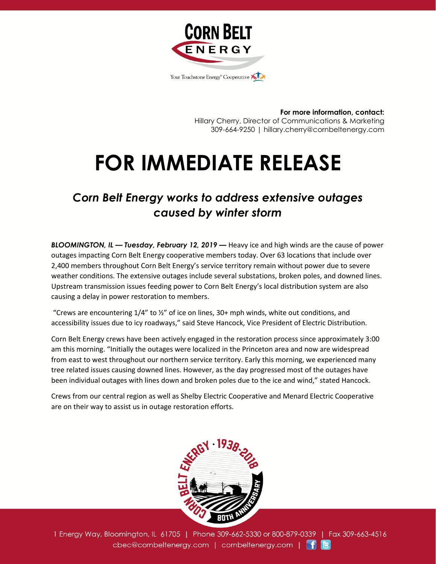

**For more information, contact:** Hillary Cherry, Director of Communications & Marketing 309-664-9250 | hillary.cherry@cornbeltenergy.com

## **FOR IMMEDIATE RELEASE**

## *Corn Belt Energy works to address extensive outages caused by winter storm*

*BLOOMINGTON, IL — Tuesday, February 12, 2019 —* Heavy ice and high winds are the cause of power outages impacting Corn Belt Energy cooperative members today. Over 63 locations that include over 2,400 members throughout Corn Belt Energy's service territory remain without power due to severe weather conditions. The extensive outages include several substations, broken poles, and downed lines. Upstream transmission issues feeding power to Corn Belt Energy's local distribution system are also causing a delay in power restoration to members.

"Crews are encountering  $1/4$ " to  $\frac{1}{2}$ " of ice on lines, 30+ mph winds, white out conditions, and accessibility issues due to icy roadways," said Steve Hancock, Vice President of Electric Distribution.

Corn Belt Energy crews have been actively engaged in the restoration process since approximately 3:00 am this morning. "Initially the outages were localized in the Princeton area and now are widespread from east to west throughout our northern service territory. Early this morning, we experienced many tree related issues causing downed lines. However, as the day progressed most of the outages have been individual outages with lines down and broken poles due to the ice and wind," stated Hancock.

Crews from our central region as well as Shelby Electric Cooperative and Menard Electric Cooperative are on their way to assist us in outage restoration efforts.



1 Energy Way, Bloomington, IL 61705 | Phone 309-662-5330 or 800-879-0339 | Fax 309-663-4516 cbec@cornbeltenergy.com | cornbeltenergy.com | f